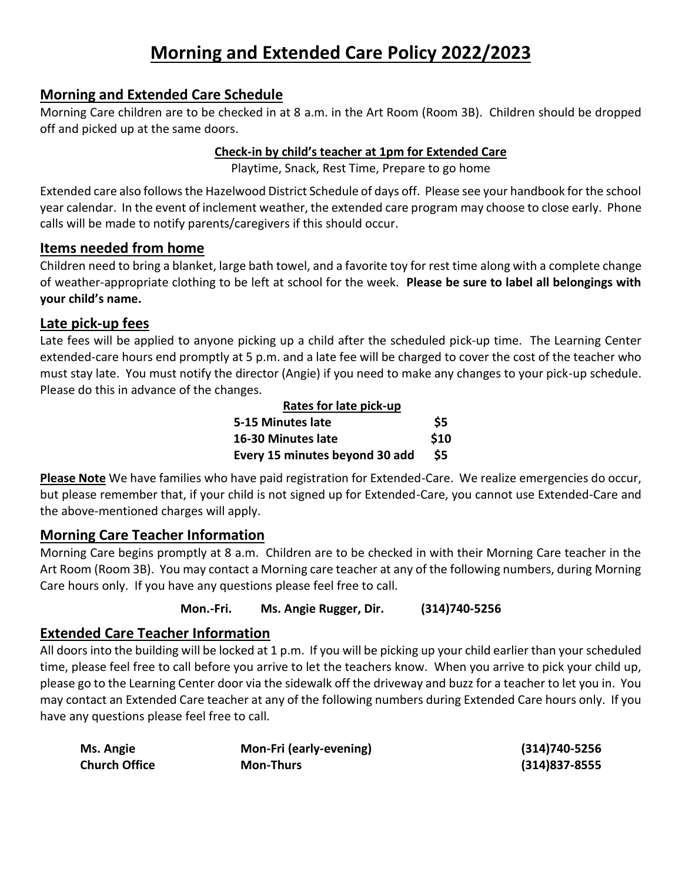# **Morning and Extended Care Policy 2022/2023**

## **Morning and Extended Care Schedule**

Morning Care children are to be checked in at 8 a.m. in the Art Room (Room 3B). Children should be dropped off and picked up at the same doors.

#### **Check-in by child's teacher at 1pm for Extended Care**

Playtime, Snack, Rest Time, Prepare to go home

Extended care also follows the Hazelwood District Schedule of days off. Please see your handbook for the school year calendar. In the event of inclement weather, the extended care program may choose to close early. Phone calls will be made to notify parents/caregivers if this should occur.

### **Items needed from home**

Children need to bring a blanket, large bath towel, and a favorite toy for rest time along with a complete change of weather-appropriate clothing to be left at school for the week. **Please be sure to label all belongings with your child's name.**

### **Late pick-up fees**

Late fees will be applied to anyone picking up a child after the scheduled pick-up time. The Learning Center extended-care hours end promptly at 5 p.m. and a late fee will be charged to cover the cost of the teacher who must stay late. You must notify the director (Angie) if you need to make any changes to your pick-up schedule. Please do this in advance of the changes.

| Rates for late pick-up         |      |
|--------------------------------|------|
| 5-15 Minutes late              | \$5  |
| 16-30 Minutes late             | \$10 |
| Every 15 minutes beyond 30 add | \$5  |

**Please Note** We have families who have paid registration for Extended-Care. We realize emergencies do occur, but please remember that, if your child is not signed up for Extended-Care, you cannot use Extended-Care and the above-mentioned charges will apply.

## **Morning Care Teacher Information**

Morning Care begins promptly at 8 a.m. Children are to be checked in with their Morning Care teacher in the Art Room (Room 3B). You may contact a Morning care teacher at any of the following numbers, during Morning Care hours only. If you have any questions please feel free to call.

**Mon.-Fri. Ms. Angie Rugger, Dir. (314)740-5256** 

## **Extended Care Teacher Information**

All doors into the building will be locked at 1 p.m. If you will be picking up your child earlier than your scheduled time, please feel free to call before you arrive to let the teachers know. When you arrive to pick your child up, please go to the Learning Center door via the sidewalk off the driveway and buzz for a teacher to let you in. You may contact an Extended Care teacher at any of the following numbers during Extended Care hours only. If you have any questions please feel free to call.

| Ms. Angie            | Mon-Fri (early-evening) | (314)740-5256     |
|----------------------|-------------------------|-------------------|
| <b>Church Office</b> | <b>Mon-Thurs</b>        | $(314)837 - 8555$ |